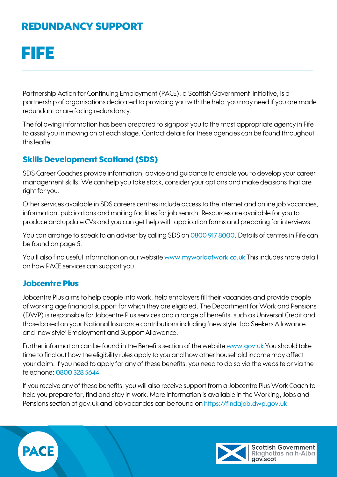# FIFE

Partnership Action for Continuing Employment (PACE), a Scottish Government Initiative, is a partnership of organisations dedicated to providing you with the help you may need if you are made redundant or are facing redundancy.

The following information has been prepared to signpost you to the most appropriate agency in Fife to assist you in moving on at each stage. Contact details for these agencies can be found throughout this leaflet.

## Skills Development Scotland (SDS)

SDS Career Coaches provide information, advice and guidance to enable you to develop your career management skills. We can help you take stock, consider your options and make decisions that are right for you.

Other services available in SDS careers centres include access to the internet and online job vacancies, information, publications and mailing facilities for job search. Resources are available for you to produce and update CVs and you can get help with application forms and preparing for interviews.

You can arrange to speak to an adviser by calling SDS on 0800 917 8000. Details of centres in Fife can be found on page 5.

You'll also find useful information on our website [www.myworldofwork.co.uk](mailto:www.myworldofwork.co.uk?subject=) This includes more detail on how PACE services can support you.

## Jobcentre Plus

Jobcentre Plus aims to help people into work, help employers fill their vacancies and provide people of working age financial support for which they are eligibled. The Department for Work and Pensions (DWP) is responsible for Jobcentre Plus services and a range of benefits, such as Universal Credit and those based on your National Insurance contributions including 'new style' Job Seekers Allowance and 'new style' Employment and Support Allowance.

Further information can be found in the Benefits section of the website [www.gov.uk](http://www.gov.uk) You should take time to find out how the eligibility rules apply to you and how other household income may affect your claim. If you need to apply for any of these benefits, you need to do so via the website or via the telephone: 0800 328 5644

If you receive any of these benefits, you will also receive support from a Jobcentre Plus Work Coach to help you prepare for, find and stay in work. More information is available in the Working, Jobs and Pensions section of gov.uk and job vacancies can be found on <https://findajob.dwp.gov.uk>



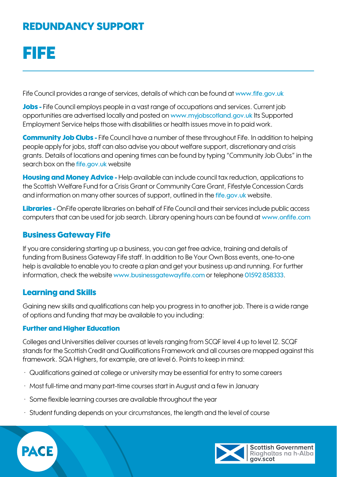# FIFE

Fife Council provides a range of services, details of which can be found at [www.fife.gov.uk](http://www.fife.gov.uk)

Jobs - Fife Council employs people in a vast range of occupations and services. Current job opportunities are advertised locally and posted on [www.myjobscotland.gov.uk](http://www.myjobscotland.gov.uk) Its Supported Employment Service helps those with disabilities or health issues move in to paid work.

**Community Job Clubs - Fife Council have a number of these throughout Fife. In addition to helping** people apply for jobs, staff can also advise you about welfare support, discretionary and crisis grants. Details of locations and opening times can be found by typing "Community Job Clubs" in the search box on the [fife.gov.uk](http://fife.gov.uk) website

**Housing and Money Advice** - Help available can include council tax reduction, applications to the Scottish Welfare Fund for a Crisis Grant or Community Care Grant, Fifestyle Concession Cards and information on many other sources of support, outlined in the [fife.gov.uk](http://fife.gov.uk) website.

Libraries - OnFife operate libraries on behalf of Fife Council and their services include public access computers that can be used for job search. Library opening hours can be found at [www.onfife.com](http://www.onfife.com)

## Business Gateway Fife

If you are considering starting up a business, you can get free advice, training and details of funding from Business Gateway Fife staff. In addition to Be Your Own Boss events, one-to-one help is available to enable you to create a plan and get your business up and running. For further information, check the website [www.businessgatewayfife.com](http://www.businessgatewayfife.com) or telephone 01592 858333.

## Learning and Skills

Gaining new skills and qualifications can help you progress in to another job. There is a wide range of options and funding that may be available to you including:

### Further and Higher Education

Colleges and Universities deliver courses at levels ranging from SCQF level 4 up to level 12. SCQF stands for the Scottish Credit and Qualifications Framework and all courses are mapped against this framework. SQA Highers, for example, are at level 6. Points to keep in mind:

- Qualifications gained at college or university may be essential for entry to some careers
- Most full-time and many part-time courses start in August and a few in January
- Some flexible learning courses are available throughout the year
- Student funding depends on your circumstances, the length and the level of course



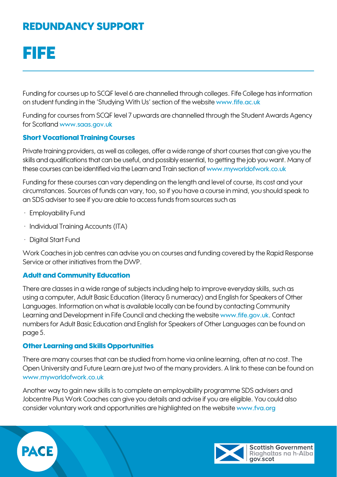# FIFE

Funding for courses up to SCQF level 6 are channelled through colleges. Fife College has information on student funding in the 'Studying With Us' section of the website [www.fife.ac.uk](http://www.fife.ac.uk)

Funding for courses from SCQF level 7 upwards are channelled through the Student Awards Agency for Scotland [www.saas.gov.uk](http://www.saas.gov.uk)

### Short Vocational Training Courses

Private training providers, as well as colleges, offer a wide range of short courses that can give you the skills and qualifications that can be useful, and possibly essential, to getting the job you want. Many of these courses can be identified via the Learn and Train section of [www.myworldofwork.co.uk](http://www.myworldofwork.co.uk)

Funding for these courses can vary depending on the length and level of course, its cost and your circumstances. Sources of funds can vary, too, so if you have a course in mind, you should speak to an SDS adviser to see if you are able to access funds from sources such as

- Employability Fund
- Individual Training Accounts (ITA)
- Digital Start Fund

Work Coaches in job centres can advise you on courses and funding covered by the Rapid Response Service or other initiatives from the DWP.

### Adult and Community Education

There are classes in a wide range of subjects including help to improve everyday skills, such as using a computer, Adult Basic Education (literacy & numeracy) and English for Speakers of Other Languages. Information on what is available locally can be found by contacting Community Learning and Development in Fife Council and checking the website [www.fife.gov.uk](http://www.fife.gov.uk). Contact numbers for Adult Basic Education and English for Speakers of Other Languages can be found on page 5.

### Other Learning and Skills Opportunities

There are many courses that can be studied from home via online learning, often at no cost. The Open University and Future Learn are just two of the many providers. A link to these can be found on [www.myworldofwork.co.uk](http://www.myworldofwork.co.uk)

Another way to gain new skills is to complete an employability programme SDS advisers and Jobcentre Plus Work Coaches can give you details and advise if you are eligible. You could also consider voluntary work and opportunities are highlighted on the website [www.fva.org](http://www.fva.org)



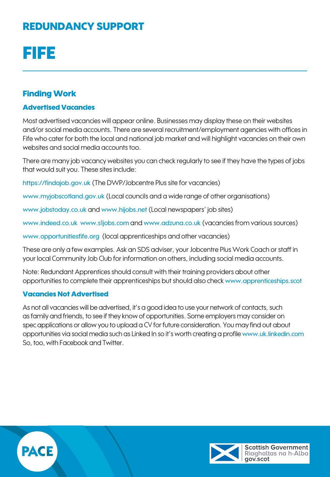# FIFE

## Finding Work

### Advertised Vacancies

Most advertised vacancies will appear online. Businesses may display these on their websites and/or social media accounts. There are several recruitment/employment agencies with offices in Fife who cater for both the local and national job market and will highlight vacancies on their own websites and social media accounts too.

There are many job vacancy websites you can check regularly to see if they have the types of jobs that would suit you. These sites include:

<https://findajob.gov.uk> (The DWP/Jobcentre Plus site for vacancies)

[www.myjobscotland.gov.uk](http://www.myjobscotland.gov.uk) (Local councils and a wide range of other organisations)

[www.jobstoday.co.uk](http://www.jobstoday.co.uk) and [www.hijobs.net](http://www.hijobs.net) (Local newspapers' job sites)

[www.indeed.co.uk](http://www.indeed.co.uk) [www.s1jobs.com](http://www.s1jobs.com) and [www.adzuna.co.uk](http://www.adzuna.co.uk) (vacancies from various sources)

[www.opportunitiesfife.org](http://www.opportunitiesfife.org) (local apprenticeships and other vacancies)

These are only a few examples. Ask an SDS adviser, your Jobcentre Plus Work Coach or staff in your local Community Job Club for information on others, including social media accounts.

Note: Redundant Apprentices should consult with their training providers about other opportunities to complete their apprenticeships but should also check [www.apprenticeships.scot](http://www.apprenticeships.scot)

#### Vacancies Not Advertised

As not all vacancies will be advertised, it's a good idea to use your network of contacts, such as family and friends, to see if they know of opportunities. Some employers may consider on spec applications or allow you to upload a CV for future consideration. You may find out about opportunities via social media such as Linked In so it's worth creating a profile [www.uk.linkedin.com](http://www.uk.linkedin.com) So, too, with Facebook and Twitter.



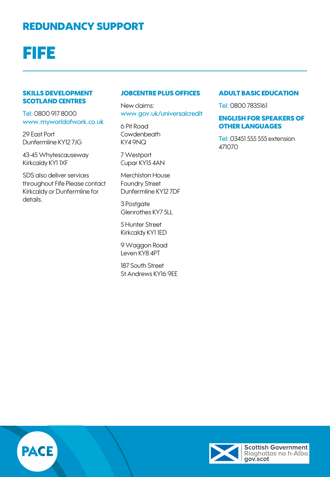# FIFE

#### SKILLS DEVELOPMENT SCOTLAND CENTRES

Tel: 0800 917 8000 [www.myworldofwork.co.uk](https://www.myworldofwork.co.uk)

29 East Port Dunfermline KY12 7JG

43-45 Whytescauseway Kirkcaldy KY1 1XF

SDS also deliver services throughout Fife Please contact Kirkcaldy or Dunfermline for details.

#### JOBCENTRE PLUS OFFICES

New claims: [www.gov.uk/universalcredit](http://www.gov.uk/universalcredit)

6 Pit Road Cowdenbeath KY4 9NQ

7 Westport Cupar KY15 4AN

Merchiston House Foundry Street Dunfermline KY12 7DF

3 Postaate Glenrothes KY7 5LL

5 Hunter Street Kirkcaldy KY1 1ED

9 Waggon Road Leven KY8 4PT

187 South Street St Andrews KY16 9EE

#### ADULT BASIC EDUCATION

Tel: 0800 7835161

### ENGLISH FOR SPEAKERS OF OTHER LANGUAGES

Tel: 03451 555 555 extension 471070